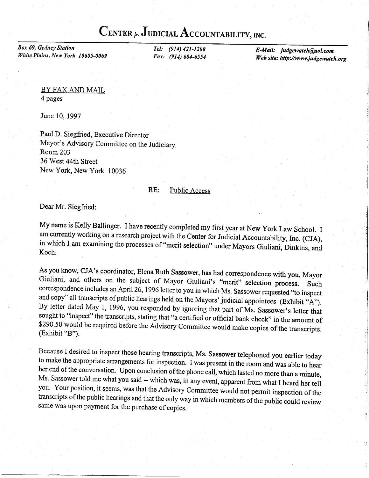## CENTER  $\sim$  JUDICIAL ACCOUNTABILITY, INC.

Box 69, Gedney Station White Plains, New York 10605-0069

Tel: (914) 421-1200 Fax: (914) 684-6554 E-Mail: judgewatch@ol.com Web site: http://www.judgewatch.org

## BY FAX AND MAIL 4 pages

June 10, 1997

Paul D. Siegfried, Executive Director Mayor's Advisory Committee on the Judiciary Room 203 36 West 44th Street New York, New York 10036

## RE: Public Access

Dear Mr. Siegfried:

My name is Kelly Ballinger. I have recently completed my first year at New York Law School. I<br>am currently working on a research project with the Center for Judicial Accountability, Inc. (CJA), in which I am examining the processes of "merit selection" under Mayors Giuliani, Dinkins, and Koch.

As you know, CJA's coordinator, Elena Ruth Sassower, has had correspondence with you, Mayor Giuliani, and others on the subject of Mayor Giuliani's "merit" selection process. Such correspondence includes an April 26, 1996 sought to "inspect" the transcripts, stating that "a certified or official bank check" in the amount of \$290.50 would be required before the Advisory Committee would make copies of the transcripts. (Exhibit "B").

Because I desired to inspect those hearing transcripts, Ms. Sassower telephoned you earlier today<br>to make the appropriate arrangements for inspection. I was present in the room and was able to hear<br>her end of the conversat